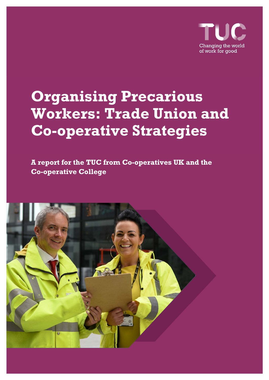

# **Organising Precarious Workers: Trade Union and Co-operative Strategies**

**A report for the TUC from Co-operatives UK and the Co-operative College**

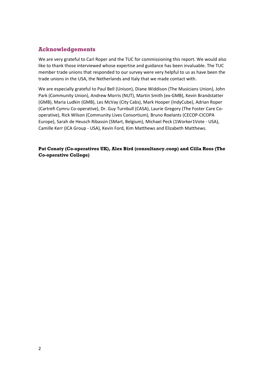### **Acknowledgements**

We are very grateful to Carl Roper and the TUC for commissioning this report. We would also like to thank those interviewed whose expertise and guidance has been invaluable. The TUC member trade unions that responded to our survey were very helpful to us as have been the trade unions in the USA, the Netherlands and Italy that we made contact with.

We are especially grateful to Paul Bell (Unison), Diane Widdison (The Musicians Union), John Park (Community Union), Andrew Morris (NUT), Martin Smith (ex‐GMB), Kevin Brandstatter (GMB), Maria Ludkin (GMB), Les McVay (City Cabs), Mark Hooper (IndyCube), Adrian Roper (Cartrefi Cymru Co‐operative), Dr. Guy Turnbull (CASA), Laurie Gregory (The Foster Care Co‐ operative), Rick Wilson (Community Lives Consortium), Bruno Roelants (CECOP‐CICOPA Europe), Sarah de Heusch Ribassin (SMart, Belgium), Michael Peck (1Worker1Vote ‐ USA), Camille Kerr (ICA Group ‐ USA), Kevin Ford, Kim Matthews and Elizabeth Matthews.

**Pat Conaty (Co-operatives UK), Alex Bird (consultancy.coop) and Cilla Ross (The Co-operative College)**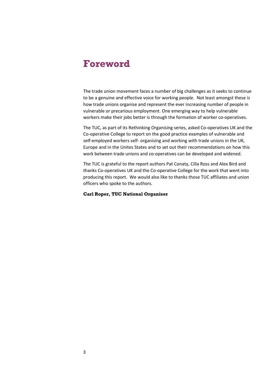### **Foreword**

The trade union movement faces a number of big challenges as it seeks to continue to be a genuine and effective voice for working people. Not least amongst these is how trade unions organise and represent the ever increasing number of people in vulnerable or precarious employment. One emerging way to help vulnerable workers make their jobs better is through the formation of worker co-operatives.

The TUC, as part of its Rethinking Organising series, asked Co-operatives UK and the Co‐operative College to report on the good practice examples of vulnerable and self-employed workers self- organising and working with trade unions in the UK, Europe and in the Unites States and to set out their recommendations on how this work between trade unions and co-operatives can be developed and widened.

The TUC is grateful to the report authors Pat Conaty, Cilla Ross and Alex Bird and thanks Co‐operatives UK and the Co‐operative College for the work that went into producing this report. We would also like to thanks those TUC affiliates and union officers who spoke to the authors.

### **Carl Roper, TUC National Organiser**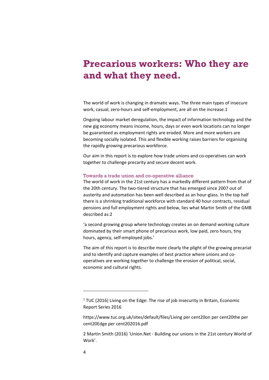### **Precarious workers: Who they are and what they need.**

The world of work is changing in dramatic ways. The three main types of insecure work, casual, zero-hours and self-employment, are all on the increase.1

Ongoing labour market deregulation, the impact of information technology and the new gig economy means income, hours, days or even work locations can no longer be guaranteed as employment rights are eroded. More and more workers are becoming socially isolated. This and flexible working raises barriers for organising the rapidly growing precarious workforce.

Our aim in this report is to explore how trade unions and co-operatives can work together to challenge precarity and secure decent work.

### Towards a trade union and co-operative alliance

The world of work in the 21st century has a markedly different pattern from that of the 20th century. The two‐tiered structure that has emerged since 2007 out of austerity and automation has been well described as an hour‐glass. In the top half there is a shrinking traditional workforce with standard 40 hour contracts, residual pensions and full employment rights and below, lies what Martin Smith of the GMB described as:2

'a second growing group where technology creates an on demand working culture dominated by their smart phone of precarious work, low paid, zero hours, tiny hours, agency, self‐employed jobs.'

The aim of this report is to describe more clearly the plight of the growing precariat and to identify and capture examples of best practice where unions and cooperatives are working together to challenge the erosion of political, social, economic and cultural rights.

 $1$  TUC (2016) Living on the Edge: The rise of job insecurity in Britain, Economic Report Series 2016

https://www.tuc.org.uk/sites/default/files/Living per cent20on per cent20the per cent20Edge per cent202016.pdf

<sup>2</sup> Martin Smith (2016) 'Union.Net ‐ Building our unions in the 21st century World of Work'.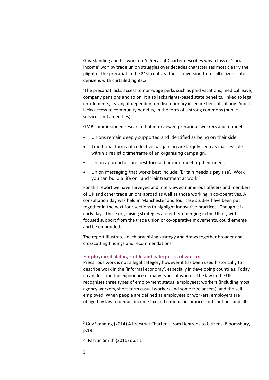Guy Standing and his work on A Precariat Charter describes why a loss of 'social income' won by trade union struggles over decades characterises most clearly the plight of the precariat in the 21st century: their conversion from full citizens into denizens with curtailed rights.3

'The precariat lacks access to non‐wage perks such as paid vacations, medical leave, company pensions and so on. It also lacks rights-based state benefits, linked to legal entitlements, leaving it dependent on discretionary insecure benefits, if any. And it lacks access to community benefits, in the form of a strong commons (public services and amenities).'

GMB commissioned research that interviewed precarious workers and found:4

- Unions remain deeply supported and identified as being on their side.
- Traditional forms of collective bargaining are largely seen as inaccessible within a realistic timeframe of an organising campaign.
- Union approaches are best focused around meeting their needs.
- Union messaging that works best include: 'Britain needs a pay rise', 'Work you can build a life on', and 'Fair treatment at work.'

For this report we have surveyed and interviewed numerous officers and members of UK and other trade unions abroad as well as those working in co‐operatives. A consultation day was held in Manchester and four case studies have been put together in the next four sections to highlight innovative practices. Though it is early days, these organising strategies are either emerging in the UK or, with focused support from the trade union or co-operative movements, could emerge and be embedded.

The report illustrates each organising strategy and draws together broader and crosscutting findings and recommendations.

#### Employment status, rights and categories of worker

Precarious work is not a legal category however it has been used historically to describe work in the 'informal economy', especially in developing countries. Today it can describe the experience of many types of worker. The law in the UK recognises three types of employment status: employees; workers (including most agency workers, short-term casual workers and some freelancers); and the selfemployed. When people are defined as employees or workers, employers are obliged by law to deduct income tax and national insurance contributions and all

<sup>&</sup>lt;sup>3</sup> Guy Standing (2014) A Precariat Charter - From Denizens to Citizens, Bloomsbury, p.19.

<sup>4</sup> Martin Smith (2016) op.cit.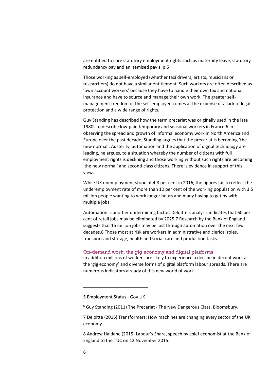are entitled to core statutory employment rights such as maternity leave, statutory redundancy pay and an itemised pay slip.5

Those working as self‐employed (whether taxi drivers, artists, musicians or researchers) do not have a similar entitlement. Such workers are often described as 'own account workers' because they have to handle their own tax and national insurance and have to source and manage their own work. The greater self‐ management freedom of the self‐employed comes at the expense of a lack of legal protection and a wide range of rights.

Guy Standing has described how the term precariat was originally used in the late 1980s to describe low‐paid temporary and seasonal workers in France.6 In observing the spread and growth of informal economy work in North America and Europe over the past decade, Standing argues that the precariat is becoming 'the new normal'. Austerity, automation and the application of digital technology are leading, he argues, to a situation whereby the number of citizens with full employment rights is declining and those working without such rights are becoming 'the new normal' and second‐class citizens. There is evidence in support of this view.

While UK unemployment stood at 4.8 per cent in 2016, the figures fail to reflect the underemployment rate of more than 10 per cent of the working population with 3.5 million people wanting to work longer hours and many having to get by with multiple jobs.

Automation is another undermining factor. Deloitte's analysis indicates that 60 per cent of retail jobs may be eliminated by 2025.7 Research by the Bank of England suggests that 15 million jobs may be lost through automation over the next few decades.8 Those most at risk are workers in administrative and clerical roles, transport and storage, health and social care and production tasks.

### On-demand work, the gig economy and digital platforms

In addition millions of workers are likely to experience a decline in decent work as the 'gig economy' and diverse forms of digital platform labour spreads. There are numerous indicators already of this new world of work.

<sup>5</sup> Employment Status ‐ Gov.UK

<sup>6</sup> Guy Standing (2011) The Precariat ‐ The New Dangerous Class, Bloomsbury.

<sup>7</sup> Deloitte (2016) Transformers: How machines are changing every sector of the UK economy.

<sup>8</sup> Andrew Haldane (2015) Labour's Share, speech by chief economist at the Bank of England to the TUC on 12 November 2015.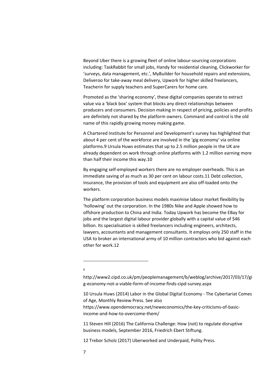Beyond Uber there is a growing fleet of online labour‐sourcing corporations including: TaskRabbit for small jobs, Handy for residential cleaning, Clickworker for 'surveys, data management, etc.', MyBuilder for household repairs and extensions, Deliveroo for take‐away meal delivery, Upwork for higher skilled freelancers, Teacherin for supply teachers and SuperCarers for home care.

Promoted as the 'sharing economy', these digital companies operate to extract value via a 'black box' system that blocks any direct relationships between producers and consumers. Decision making in respect of pricing, policies and profits are definitely not shared by the platform owners. Command and control is the old name of this rapidly growing money making game.

A Chartered Institute for Personnel and Development's survey has highlighted that about 4 per cent of the workforce are involved in the 'gig economy' via online platforms.9 Ursula Huws estimates that up to 2.5 million people in the UK are already dependent on work through online platforms with 1.2 million earning more than half their income this way.10

By engaging self‐employed workers there are no employer overheads. This is an immediate saving of as much as 30 per cent on labour costs.11 Debt collection, insurance, the provision of tools and equipment are also off‐loaded onto the workers.

The platform corporation business models maximise labour market flexibility by 'hollowing' out the corporation. In the 1980s Nike and Apple showed how to offshore production to China and India. Today Upwork has become the EBay for jobs and the largest digital labour provider globally with a capital value of \$46 billion. Its specialisation is skilled freelancers including engineers, architects, lawyers, accountants and management consultants. It employs only 250 staff in the USA to broker an international army of 10 million contractors who bid against each other for work.12

9

<u> 1989 - Johann Barn, mars eta bainar eta bainar eta baina eta baina eta baina eta baina eta baina eta baina e</u>

http://www2.cipd.co.uk/pm/peoplemanagement/b/weblog/archive/2017/03/17/gi g‐economy‐not‐a‐viable‐form‐of‐income‐finds‐cipd‐survey.aspx

10 Ursula Huws (2014) Labor in the Global Digital Economy ‐ The Cybertariat Comes of Age, Monthly Review Press. See also

https://www.opendemocracy.net/neweconomics/the‐key‐criticisms‐of‐basic‐ income‐and‐how‐to‐overcome‐them/

11 Steven Hill (2016) The California Challenge: How (not) to regulate disruptive business models, September 2016, Friedrich Ebert Stiftung.

12 Trebor Scholz (2017) Uberworked and Underpaid, Polity Press.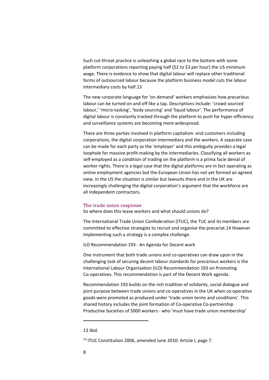Such cut-throat practice is unleashing a global race to the bottom with some platform corporations reporting paying half (\$2 to \$3 per hour) the US minimum wage. There is evidence to show that digital labour will replace other traditional forms of outsourced labour because the platform business model cuts the labour intermediary costs by half.13

The new corporate language for 'on demand' workers emphasises how precarious labour can be turned on and off like a tap. Descriptions include: 'crowd sourced labour,' 'micro‐tasking', 'body sourcing' and 'liquid labour'. The performance of digital labour is constantly tracked through the platform to push for hyper‐efficiency and surveillance systems are becoming more widespread.

There are three parties involved in platform capitalism: end customers including corporations, the digital corporation intermediary and the workers. A separate case can be made for each party as the 'employer' and this ambiguity provides a legal loophole for massive profit‐making by the intermediaries. Classifying all workers as self-employed as a condition of trading on the platform is a prima facie denial of worker rights. There is a legal case that the digital platforms are in fact operating as online employment agencies but the European Union has not yet formed an agreed view. In the US the situation is similar but lawsuits there and in the UK are increasingly challenging the digital corporation's argument that the workforce are all independent contractors.

### The trade union response

So where does this leave workers and what should unions do?

The International Trade Union Confederation (ITUC), the TUC and its members are committed to effective strategies to recruit and organise the precariat.14 However implementing such a strategy is a complex challenge.

ILO Recommendation 193 ‐ An Agenda for Decent work

One instrument that both trade unions and co‐operatives can draw upon in the challenging task of securing decent labour standards for precarious workers is the International Labour Organisation (ILO) Recommendation 193 on Promoting Co-operatives. This recommendation is part of the Decent Work agenda.

Recommendation 193 builds on the rich tradition of solidarity, social dialogue and joint purpose between trade unions and co‐operatives in the UK when co‐operative goods were promoted as produced under 'trade union terms and conditions'. This shared history includes the joint formation of Co-operative Co-partnership Productive Societies of 5000 workers ‐ who 'must have trade union membership'

<sup>13</sup> Ibid.

<sup>&</sup>lt;sup>14</sup> ITUC Constitution 2006, amended June 2010: Article I, page 7.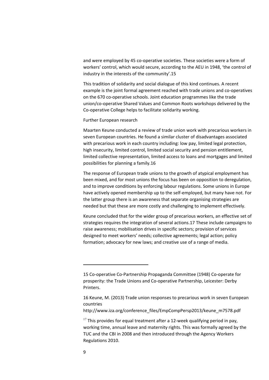and were employed by 45 co-operative societies. These societies were a form of workers' control, which would secure, according to the AEU in 1948, 'the control of industry in the interests of the community'.15

This tradition of solidarity and social dialogue of this kind continues. A recent example is the joint formal agreement reached with trade unions and co‐operatives on the 670 co‐operative schools. Joint education programmes like the trade union/co‐operative Shared Values and Common Roots workshops delivered by the Co‐operative College helps to facilitate solidarity working.

#### Further European research

Maarten Keune conducted a review of trade union work with precarious workers in seven European countries. He found a similar cluster of disadvantages associated with precarious work in each country including: low pay, limited legal protection, high insecurity, limited control, limited social security and pension entitlement, limited collective representation, limited access to loans and mortgages and limited possibilities for planning a family.16

The response of European trade unions to the growth of atypical employment has been mixed, and for most unions the focus has been on opposition to deregulation, and to improve conditions by enforcing labour regulations. Some unions in Europe have actively opened membership up to the self-employed, but many have not. For the latter group there is an awareness that separate organising strategies are needed but that these are more costly and challenging to implement effectively.

Keune concluded that for the wider group of precarious workers, an effective set of strategies requires the integration of several actions.17 These include campaigns to raise awareness; mobilisation drives in specific sectors; provision of services designed to meet workers' needs; collective agreements; legal action; policy formation; advocacy for new laws; and creative use of a range of media.

http://www.iza.org/conference\_files/EmpCompPersp2013/keune\_m7578.pdf

<sup>15</sup> Co‐operative Co‐Partnership Propaganda Committee (1948) Co‐operate for prosperity: the Trade Unions and Co‐operative Partnership, Leicester: Derby Printers.

<sup>16</sup> Keune, M. (2013) Trade union responses to precarious work in seven European countries

 $17$  This provides for equal treatment after a 12-week qualifying period in pay, working time, annual leave and maternity rights. This was formally agreed by the TUC and the CBI in 2008 and then introduced through the Agency Workers Regulations 2010.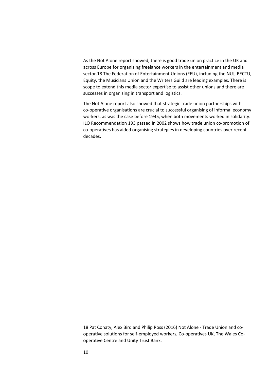As the Not Alone report showed, there is good trade union practice in the UK and across Europe for organising freelance workers in the entertainment and media sector.18 The Federation of Entertainment Unions (FEU), including the NUJ, BECTU, Equity, the Musicians Union and the Writers Guild are leading examples. There is scope to extend this media sector expertise to assist other unions and there are successes in organising in transport and logistics.

The Not Alone report also showed that strategic trade union partnerships with co‐operative organisations are crucial to successful organising of informal economy workers, as was the case before 1945, when both movements worked in solidarity. ILO Recommendation 193 passed in 2002 shows how trade union co-promotion of co-operatives has aided organising strategies in developing countries over recent decades.

<sup>18</sup> Pat Conaty, Alex Bird and Philip Ross (2016) Not Alone ‐ Trade Union and co‐ operative solutions for self‐employed workers, Co‐operatives UK, The Wales Co‐ operative Centre and Unity Trust Bank.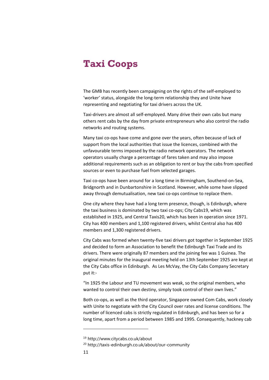### **Taxi Coops**

The GMB has recently been campaigning on the rights of the self‐employed to 'worker' status, alongside the long‐term relationship they and Unite have representing and negotiating for taxi drivers across the UK.

Taxi‐drivers are almost all self‐employed. Many drive their own cabs but many others rent cabs by the day from private entrepreneurs who also control the radio networks and routing systems.

Many taxi co-ops have come and gone over the years, often because of lack of support from the local authorities that issue the licences, combined with the unfavourable terms imposed by the radio network operators. The network operators usually charge a percentage of fares taken and may also impose additional requirements such as an obligation to rent or buy the cabs from specified sources or even to purchase fuel from selected garages.

Taxi co‐ops have been around for a long time in Birmingham, Southend‐on‐Sea, Bridgnorth and in Dunbartonshire in Scotland. However, while some have slipped away through demutualisation, new taxi co-ops continue to replace them.

One city where they have had a long term presence, though, is Edinburgh, where the taxi business is dominated by two taxi co‐ops; City Cabs19, which was established in 1925, and Central Taxis20, which has been in operation since 1971. City has 400 members and 1,100 registered drivers, whilst Central also has 400 members and 1,300 registered drivers.

City Cabs was formed when twenty‐five taxi drivers got together in September 1925 and decided to form an Association to benefit the Edinburgh Taxi Trade and its drivers. There were originally 87 members and the joining fee was 1 Guinea. The original minutes for the inaugural meeting held on 13th September 1925 are kept at the City Cabs office in Edinburgh. As Les McVay, the City Cabs Company Secretary put it:‐

"In 1925 the Labour and TU movement was weak, so the original members, who wanted to control their own destiny, simply took control of their own lives."

Both co‐ops, as well as the third operator, Singapore owned Com Cabs, work closely with Unite to negotiate with the City Council over rates and license conditions. The number of licenced cabs is strictly regulated in Edinburgh, and has been so for a long time, apart from a period between 1985 and 1995. Consequently, hackney cab

<sup>19</sup> http://www.citycabs.co.uk/about

<sup>20</sup> http://taxis-edinburgh.co.uk/about/our-community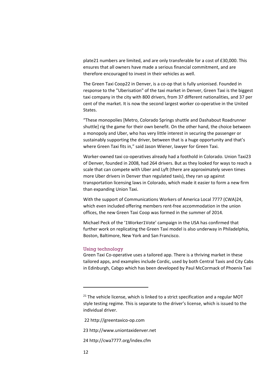plate21 numbers are limited, and are only transferable for a cost of £30,000. This ensures that all owners have made a serious financial commitment, and are therefore encouraged to invest in their vehicles as well.

The Green Taxi Coop22 in Denver, is a co-op that is fully unionised. Founded in response to the "Uberisation" of the taxi market in Denver, Green Taxi is the biggest taxi company in the city with 800 drivers, from 37 different nationalities, and 37 per cent of the market. It is now the second largest worker co-operative in the United States.

"These monopolies [Metro, Colorado Springs shuttle and Dashabout Roadrunner shuttle] rig the game for their own benefit. On the other hand, the choice between a monopoly and Uber, who has very little interest in securing the passenger or sustainably supporting the driver, between that is a huge opportunity and that's where Green Taxi fits in," said Jason Wiener, lawyer for Green Taxi.

Worker‐owned taxi co‐operatives already had a foothold in Colorado. Union Taxi23 of Denver, founded in 2008, had 264 drivers. But as they looked for ways to reach a scale that can compete with Uber and Lyft (there are approximately seven times more Uber drivers in Denver than regulated taxis), they ran up against transportation licensing laws in Colorado, which made it easier to form a new firm than expanding Union Taxi.

With the support of Communications Workers of America Local 7777 (CWA)24, which even included offering members rent‐free accommodation in the union offices, the new Green Taxi Coop was formed in the summer of 2014.

Michael Peck of the '1Worker1Vote' campaign in the USA has confirmed that further work on replicating the Green Taxi model is also underway in Philadelphia, Boston, Baltimore, New York and San Francisco.

### Using technology

Green Taxi Co-operative uses a tailored app. There is a thriving market in these tailored apps, and examples include Cordic, used by both Central Taxis and City Cabs in Edinburgh, Cabgo which has been developed by Paul McCormack of Phoenix Taxi

22 http://greentaxico‐op.com

- 23 http://www.uniontaxidenver.net
- 24 http://cwa7777.org/index.cfm

 $21$  The vehicle license, which is linked to a strict specification and a regular MOT style testing regime. This is separate to the driver's license, which is issued to the individual driver.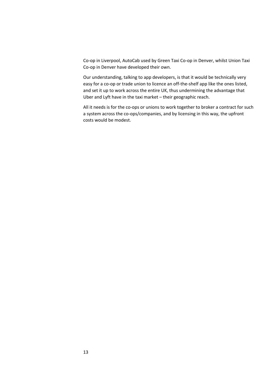Co‐op in Liverpool, AutoCab used by Green Taxi Co‐op in Denver, whilst Union Taxi Co‐op in Denver have developed their own.

Our understanding, talking to app developers, is that it would be technically very easy for a co-op or trade union to licence an off-the-shelf app like the ones listed, and set it up to work across the entire UK, thus undermining the advantage that Uber and Lyft have in the taxi market – their geographic reach.

All it needs is for the co-ops or unions to work together to broker a contract for such a system across the co-ops/companies, and by licensing in this way, the upfront costs would be modest.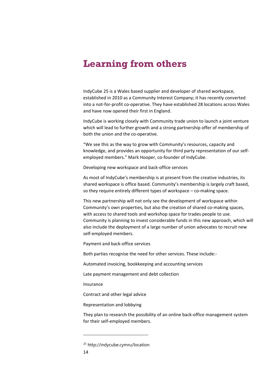### **Learning from others**

IndyCube 25 is a Wales based supplier and developer of shared workspace, established in 2010 as a Community Interest Company; it has recently converted into a not-for-profit co-operative. They have established 28 locations across Wales and have now opened their first in England.

IndyCube is working closely with Community trade union to launch a joint venture which will lead to further growth and a strong partnership offer of membership of both the union and the co-operative.

"We see this as the way to grow with Community's resources, capacity and knowledge, and provides an opportunity for third party representation of our self‐ employed members." Mark Hooper, co-founder of IndyCube.

Developing new workspace and back‐office services

As most of IndyCube's membership is at present from the creative industries, its shared workspace is office based. Community's membership is largely craft based, so they require entirely different types of workspace – co-making space.

This new partnership will not only see the development of workspace within Community's own properties, but also the creation of shared co‐making spaces, with access to shared tools and workshop space for trades people to use. Community is planning to invest considerable funds in this new approach, which will also include the deployment of a large number of union advocates to recruit new self‐employed members.

Payment and back‐office services

Both parties recognise the need for other services. These include:‐

Automated invoicing, bookkeeping and accounting services

Late payment management and debt collection

Insurance

Contract and other legal advice

Representation and lobbying

They plan to research the possibility of an online back‐office management system for their self‐employed members.

<sup>25</sup> http://indycube.cymru/location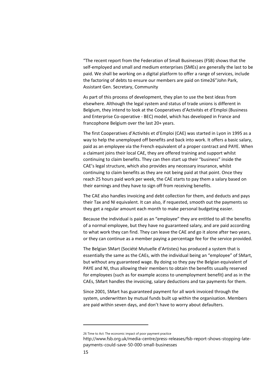"The recent report from the Federation of Small Businesses (FSB) shows that the self-employed and small and medium enterprises (SMEs) are generally the last to be paid. We shall be working on a digital platform to offer a range of services, include the factoring of debts to ensure our members are paid on time26"John Park, Assistant Gen. Secretary, Community

As part of this process of development, they plan to use the best ideas from elsewhere. Although the legal system and status of trade unions is different in Belgium, they intend to look at the Cooperatives d'Activités et d'Emploi (Business and Enterprise Co‐operative ‐ BEC) model, which has developed in France and francophone Belgium over the last 20+ years.

The first Cooperatives d'Activités et d'Emploi (CAE) was started in Lyon in 1995 as a way to help the unemployed off benefits and back into work. It offers a basic salary, paid as an employee via the French equivalent of a proper contract and PAYE. When a claimant joins their local CAE, they are offered training and support whilst continuing to claim benefits. They can then start up their "business" inside the CAE's legal structure, which also provides any necessary insurance, whilst continuing to claim benefits as they are not being paid at that point. Once they reach 25 hours paid work per week, the CAE starts to pay them a salary based on their earnings and they have to sign off from receiving benefits.

The CAE also handles invoicing and debt collection for them, and deducts and pays their Tax and NI equivalent. It can also, if requested, smooth out the payments so they get a regular amount each month to make personal budgeting easier.

Because the individual is paid as an "employee" they are entitled to all the benefits of a normal employee, but they have no guaranteed salary, and are paid according to what work they can find. They can leave the CAE and go it alone after two years, or they can continue as a member paying a percentage fee for the service provided.

The Belgian SMart (Société Mutuelle d'Artistes) has produced a system that is essentially the same as the CAEs, with the individual being an "employee" of SMart, but without any guaranteed wage. By doing so they pay the Belgian equivalent of PAYE and NI, thus allowing their members to obtain the benefits usually reserved for employees (such as for example access to unemployment benefit) and as in the CAEs, SMart handles the invoicing, salary deductions and tax payments for them.

Since 2001, SMart has guaranteed payment for all work invoiced through the system, underwritten by mutual funds built up within the organisation. Members are paid within seven days, and don't have to worry about defaulters.

<sup>26</sup> Time to Act: The economic impact of poor payment practice

http://www.fsb.org.uk/media-centre/press-releases/fsb-report-shows-stopping-latepayments-could-save-50-000-small-businesses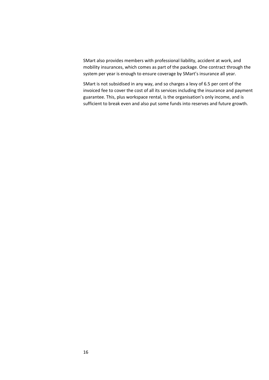SMart also provides members with professional liability, accident at work, and mobility insurances, which comes as part of the package. One contract through the system per year is enough to ensure coverage by SMart's insurance all year.

SMart is not subsidised in any way, and so charges a levy of 6.5 per cent of the invoiced fee to cover the cost of all its services including the insurance and payment guarantee. This, plus workspace rental, is the organisation's only income, and is sufficient to break even and also put some funds into reserves and future growth.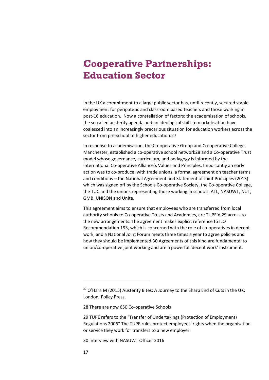## **Cooperative Partnerships: Education Sector**

In the UK a commitment to a large public sector has, until recently, secured stable employment for peripatetic and classroom based teachers and those working in post-16 education. Now a constellation of factors: the academisation of schools, the so called austerity agenda and an ideological shift to marketisation have coalesced into an increasingly precarious situation for education workers across the sector from pre‐school to higher education.27

In response to academisation, the Co-operative Group and Co-operative College, Manchester, established a co‐operative school network28 and a Co‐operative Trust model whose governance, curriculum, and pedagogy is informed by the International Co-operative Alliance's Values and Principles. Importantly an early action was to co‐produce, with trade unions, a formal agreement on teacher terms and conditions – the National Agreement and Statement of Joint Principles (2013) which was signed off by the Schools Co-operative Society, the Co-operative College, the TUC and the unions representing those working in schools: ATL, NASUWT, NUT, GMB, UNISON and Unite.

This agreement aims to ensure that employees who are transferred from local authority schools to Co-operative Trusts and Academies, are TUPE'd 29 across to the new arrangements. The agreement makes explicit reference to ILO Recommendation 193, which is concerned with the role of co-operatives in decent work, and a National Joint Forum meets three times a year to agree policies and how they should be implemented.30 Agreements of this kind are fundamental to union/co-operative joint working and are a powerful 'decent work' instrument.

 $27$  O'Hara M (2015) Austerity Bites: A Journey to the Sharp End of Cuts in the UK; London: Policy Press.

<sup>28</sup> There are now 650 Co-operative Schools

<sup>29</sup> TUPE refers to the "Transfer of Undertakings (Protection of Employment) Regulations 2006" The TUPE rules protect employees' rights when the organisation or service they work for transfers to a new employer.

<sup>30</sup> Interview with NASUWT Officer 2016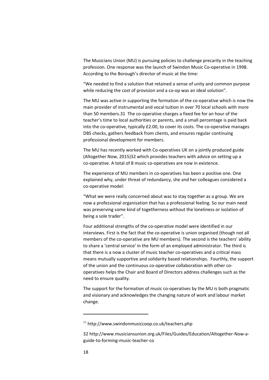The Musicians Union (MU) is pursuing policies to challenge precarity in the teaching profession. One response was the launch of Swindon Music Co‐operative in 1998. According to the Borough's director of music at the time:

"We needed to find a solution that retained a sense of unity and common purpose while reducing the cost of provision and a co-op was an ideal solution".

The MU was active in supporting the formation of the co-operative which is now the main provider of instrumental and vocal tuition in over 70 local schools with more than 50 members.31 The co-operative charges a fixed fee for an hour of the teacher's time to local authorities or parents, and a small percentage is paid back into the co-operative, typically  $£2.00$ , to cover its costs. The co-operative manages DBS checks, gathers feedback from clients, and ensures regular continuing professional development for members.

The MU has recently worked with Co-operatives UK on a jointly produced guide (Altogether Now, 2015)32 which provides teachers with advice on setting up a co‐operative. A total of 8 music co‐operatives are now in existence.

The experience of MU members in co-operatives has been a positive one. One explained why, under threat of redundancy, she and her colleagues considered a co‐operative model:

"What we were really concerned about was to stay together as a group. We are now a professional organisation that has a professional feeling. So our main need was preserving some kind of togetherness without the loneliness or isolation of being a sole trader".

Four additional strengths of the co‐operative model were identified in our interviews. First is the fact that the co-operative is union organised (though not all members of the co-operative are MU members). The second is the teachers' ability to share a 'central service' in the form of an employed administrator. The third is that there is a now a cluster of music teacher co-operatives and a critical mass means mutually supportive and solidarity based relationships. Fourthly, the support of the union and the continuous co-operative collaboration with other cooperatives helps the Chair and Board of Directors address challenges such as the need to ensure quality.

The support for the formation of music co-operatives by the MU is both pragmatic and visionary and acknowledges the changing nature of work and labour market change.

 $31$  http://www.swindonmusiccoop.co.uk/teachers.php

<sup>32</sup> http://www.musiciansunion.org.uk/Files/Guides/Education/Altogether-Now-aguide‐to‐forming‐music‐teacher‐co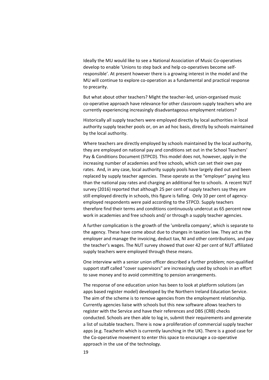Ideally the MU would like to see a National Association of Music Co‐operatives develop to enable 'Unions to step back and help co‐operatives become self‐ responsible'. At present however there is a growing interest in the model and the MU will continue to explore co-operation as a fundamental and practical response to precarity.

But what about other teachers? Might the teacher‐led, union‐organised music co‐operative approach have relevance for other classroom supply teachers who are currently experiencing increasingly disadvantageous employment relations?

Historically all supply teachers were employed directly by local authorities in local authority supply teacher pools or, on an ad hoc basis, directly by schools maintained by the local authority.

Where teachers are directly employed by schools maintained by the local authority, they are employed on national pay and conditions set out in the School Teachers' Pay & Conditions Document (STPCD). This model does not, however, apply in the increasing number of academies and free schools, which can set their own pay rates. And, in any case, local authority supply pools have largely died out and been replaced by supply teacher agencies. These operate as the "employer" paying less than the national pay rates and charging an additional fee to schools. A recent NUT survey (2016) reported that although 25 per cent of supply teachers say they are still employed directly in schools, this figure is falling. Only 10 per cent of agency‐ employed respondents were paid according to the STPCD. Supply teachers therefore find their terms and conditions continuously undercut as 65 percent now work in academies and free schools and/ or through a supply teacher agencies.

A further complication is the growth of the 'umbrella company', which is separate to the agency. These have come about due to changes in taxation law. They act as the employer and manage the invoicing, deduct tax, NI and other contributions, and pay the teacher's wages. The NUT survey showed that over 42 per cent of NUT affiliated supply teachers were employed through these means.

One interview with a senior union officer described a further problem; non‐qualified support staff called "cover supervisors" are increasingly used by schools in an effort to save money and to avoid committing to pension arrangements.

The response of one education union has been to look at platform solutions (an apps based register model) developed by the Northern Ireland Education Service. The aim of the scheme is to remove agencies from the employment relationship. Currently agencies liaise with schools but this new software allows teachers to register with the Service and have their references and DBS (CRB) checks conducted. Schools are then able to log in, submit their requirements and generate a list of suitable teachers. There is now a proliferation of commercial supply teacher apps (e.g. TeacherIn which is currently launching in the UK). There is a good case for the Co-operative movement to enter this space to encourage a co-operative approach in the use of the technology.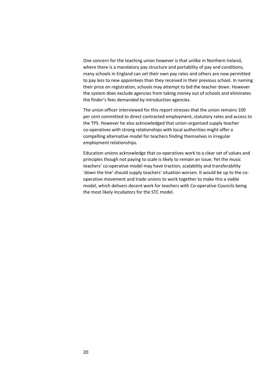One concern for the teaching union however is that unlike in Northern Ireland, where there is a mandatory pay structure and portability of pay and conditions, many schools in England can set their own pay rates and others are now permitted to pay less to new appointees than they received in their previous school. In naming their price on registration, schools may attempt to bid the teacher down. However the system does exclude agencies from taking money out of schools and eliminates the finder's fees demanded by introduction agencies.

The union officer interviewed for this report stresses that the union remains 100 per cent committed to direct contracted employment, statutory rates and access to the TPS. However he also acknowledged that union‐organised supply teacher co-operatives with strong relationships with local authorities might offer a compelling alternative model for teachers finding themselves in irregular employment relationships.

Education unions acknowledge that co‐operatives work to a clear set of values and principles though not paying to scale is likely to remain an issue. Yet the music teachers' co-operative model may have traction, scalability and transferability 'down the line' should supply teachers' situation worsen. It would be up to the co‐ operative movement and trade unions to work together to make this a viable model, which delivers decent work for teachers with Co-operative Councils being the most likely incubators for the STC model.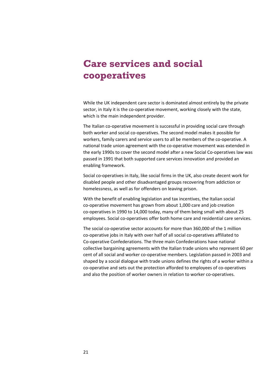# **Care services and social cooperatives**

While the UK independent care sector is dominated almost entirely by the private sector, in Italy it is the co-operative movement, working closely with the state, which is the main independent provider.

The Italian co-operative movement is successful in providing social care through both worker and social co-operatives. The second model makes it possible for workers, family carers and service users to all be members of the co-operative. A national trade union agreement with the co-operative movement was extended in the early 1990s to cover the second model after a new Social Co-operatives law was passed in 1991 that both supported care services innovation and provided an enabling framework.

Social co‐operatives in Italy, like social firms in the UK, also create decent work for disabled people and other disadvantaged groups recovering from addiction or homelessness, as well as for offenders on leaving prison.

With the benefit of enabling legislation and tax incentives, the Italian social co‐operative movement has grown from about 1,000 care and job creation co-operatives in 1990 to 14,000 today, many of them being small with about 25 employees. Social co-operatives offer both home care and residential care services.

The social co-operative sector accounts for more than 360,000 of the 1 million co‐operative jobs in Italy with over half of all social co‐operatives affiliated to Co‐operative Confederations. The three main Confederations have national collective bargaining agreements with the Italian trade unions who represent 60 per cent of all social and worker co-operative members. Legislation passed in 2003 and shaped by a social dialogue with trade unions defines the rights of a worker within a co‐operative and sets out the protection afforded to employees of co‐operatives and also the position of worker owners in relation to worker co-operatives.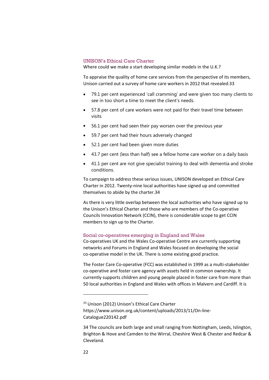### UNISON's Ethical Care Charter

Where could we make a start developing similar models in the U.K.?

To appraise the quality of home care services from the perspective of its members, Unison carried out a survey of home care workers in 2012 that revealed:33

- 79.1 per cent experienced 'call cramming' and were given too many clients to see in too short a time to meet the client's needs.
- 57.8 per cent of care workers were not paid for their travel time between visits
- $\bullet$  56.1 per cent had seen their pay worsen over the previous year
- 59.7 per cent had their hours adversely changed
- 52.1 per cent had been given more duties
- 43.7 per cent (less than half) see a fellow home care worker on a daily basis
- 41.1 per cent are not give specialist training to deal with dementia and stroke conditions.

To campaign to address these serious issues, UNISON developed an Ethical Care Charter in 2012. Twenty‐nine local authorities have signed up and committed themselves to abide by the charter.34

As there is very little overlap between the local authorities who have signed up to the Unison's Ethical Charter and those who are members of the Co‐operative Councils Innovation Network (CCIN), there is considerable scope to get CCIN members to sign up to the Charter.

### Social co-operatives emerging in England and Wales

Co‐operatives UK and the Wales Co‐operative Centre are currently supporting networks and Forums in England and Wales focused on developing the social co‐operative model in the UK. There is some existing good practice.

The Foster Care Co‐operative (FCC) was established in 1999 as a multi‐stakeholder co-operative and foster care agency with assets held in common ownership. It currently supports children and young people placed in foster care from more than 50 local authorities in England and Wales with offices in Malvern and Cardiff. It is

<sup>&</sup>lt;sup>33</sup> Unison (2012) Unison's Ethical Care Charter https://www.unison.org.uk/content/uploads/2013/11/On‐line‐ Catalogue220142.pdf

<sup>34</sup> The councils are both large and small ranging from Nottingham, Leeds, Islington, Brighton & Hove and Camden to the Wirral, Cheshire West & Chester and Redcar & Cleveland.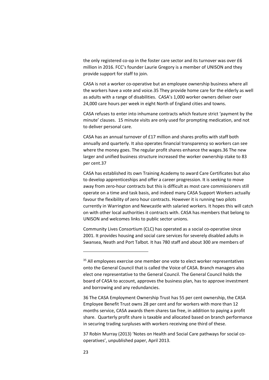the only registered co-op in the foster care sector and its turnover was over £6 million in 2016. FCC's founder Laurie Gregory is a member of UNISON and they provide support for staff to join.

CASA is not a worker co‐operative but an employee ownership business where all the workers have a vote and voice.35 They provide home care for the elderly as well as adults with a range of disabilities. CASA's 1,000 worker owners deliver over 24,000 care hours per week in eight North of England cities and towns.

CASA refuses to enter into inhumane contracts which feature strict 'payment by the minute' clauses. 15 minute visits are only used for prompting medication, and not to deliver personal care.

CASA has an annual turnover of £17 million and shares profits with staff both annually and quarterly. It also operates financial transparency so workers can see where the money goes. The regular profit shares enhance the wages.36 The new larger and unified business structure increased the worker ownership stake to 83 per cent.37

CASA has established its own Training Academy to award Care Certificates but also to develop apprenticeships and offer a career progression. It is seeking to move away from zero‐hour contracts but this is difficult as most care commissioners still operate on a time and task basis, and indeed many CASA Support Workers actually favour the flexibility of zero hour contracts. However it is running two pilots currently in Warrington and Newcastle with salaried workers. It hopes this will catch on with other local authorities it contracts with. CASA has members that belong to UNISON and welcomes links to public sector unions.

Community Lives Consortium (CLC) has operated as a social co‐operative since 2001. It provides housing and social care services for severely disabled adults in Swansea, Neath and Port Talbot. It has 780 staff and about 300 are members of

<u> 1989 - Johann Barn, mars eta bainar eta bainar eta baina eta baina eta baina eta baina eta baina eta baina e</u>

36 The CASA Employment Ownership Trust has 55 per cent ownership, the CASA Employee Benefit Trust owns 28 per cent and for workers with more than 12 months service, CASA awards them shares tax free, in addition to paying a profit share. Quarterly profit share is taxable and allocated based on branch performance in securing trading surpluses with workers receiving one third of these.

37 Robin Murray (2013) 'Notes on Health and Social Care pathways for social co‐ operatives', unpublished paper, April 2013.

<sup>&</sup>lt;sup>35</sup> All employees exercise one member one vote to elect worker representatives onto the General Council that is called the Voice of CASA. Branch managers also elect one representative to the General Council. The General Council holds the board of CASA to account, approves the business plan, has to approve investment and borrowing and any redundancies.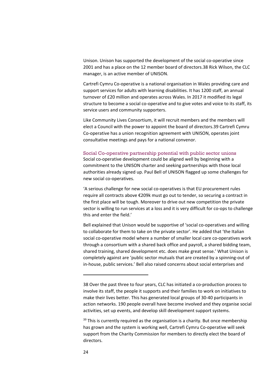Unison. Unison has supported the development of the social co‐operative since 2001 and has a place on the 12 member board of directors.38 Rick Wilson, the CLC manager, is an active member of UNISON.

Cartrefi Cymru Co‐operative is a national organisation in Wales providing care and support services for adults with learning disabilities. It has 1200 staff, an annual turnover of £20 million and operates across Wales. In 2017 it modified its legal structure to become a social co-operative and to give votes and voice to its staff, its service users and community supporters.

Like Community Lives Consortium, it will recruit members and the members will elect a Council with the power to appoint the board of directors.39 Cartrefi Cymru Co‐operative has a union recognition agreement with UNISON, operates joint consultative meetings and pays for a national convenor.

### Social Co-operative partnership potential with public sector unions

Social co-operative development could be aligned well by beginning with a commitment to the UNISON charter and seeking partnerships with those local authorities already signed up. Paul Bell of UNISON flagged up some challenges for new social co‐operatives.

'A serious challenge for new social co‐operatives is that EU procurement rules require all contracts above €209k must go out to tender, so securing a contract in the first place will be tough. Moreover to drive out new competition the private sector is willing to run services at a loss and it is very difficult for co-ops to challenge this and enter the field.'

Bell explained that Unison would be supportive of 'social co‐operatives and willing to collaborate for them to take on the private sector'. He added that 'the Italian social co-operative model where a number of smaller local care co-operatives work through a consortium with a shared back office and payroll, a shared bidding team, shared training, shared development etc. does make great sense.' What Unison is completely against are 'public sector mutuals that are created by a spinning‐out of in-house, public services.' Bell also raised concerns about social enterprises and

<sup>38</sup> Over the past three to four years, CLC has initiated a co-production process to involve its staff, the people it supports and their families to work on initiatives to make their lives better. This has generated local groups of 30‐40 participants in action networks. 190 people overall have become involved and they organise social activities, set up events, and develop skill development support systems.

 $39$  This is currently required as the organisation is a charity. But once membership has grown and the system is working well, Cartrefi Cymru Co-operative will seek support from the Charity Commission for members to directly elect the board of directors.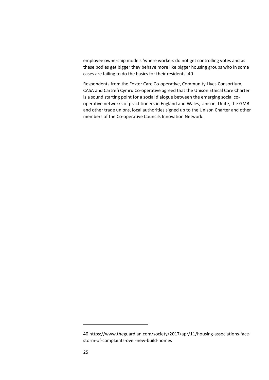employee ownership models 'where workers do not get controlling votes and as these bodies get bigger they behave more like bigger housing groups who in some cases are failing to do the basics for their residents'.40

Respondents from the Foster Care Co-operative, Community Lives Consortium, CASA and Cartrefi Cymru Co‐operative agreed that the Unison Ethical Care Charter is a sound starting point for a social dialogue between the emerging social cooperative networks of practitioners in England and Wales, Unison, Unite, the GMB and other trade unions, local authorities signed up to the Unison Charter and other members of the Co-operative Councils Innovation Network.

<sup>40</sup> https://www.theguardian.com/society/2017/apr/11/housing‐associations‐face‐ storm‐of‐complaints‐over‐new‐build‐homes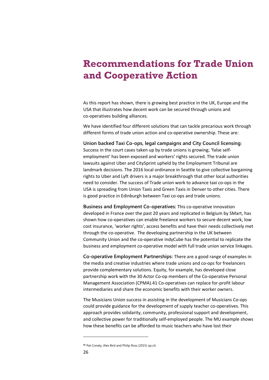### **Recommendations for Trade Union and Cooperative Action**

As this report has shown, there is growing best practice in the UK, Europe and the USA that illustrates how decent work can be secured through unions and co‐operatives building alliances.

We have identified four different solutions that can tackle precarious work through different forms of trade union action and co-operative ownership. These are:

**Union backed Taxi Co-ops, legal campaigns and City Council licensing**: Success in the court cases taken up by trade unions is growing; 'false self‐ employment' has been exposed and workers' rights secured. The trade union lawsuits against Uber and CitySprint upheld by the Employment Tribunal are landmark decisions. The 2016 local ordinance in Seattle to give collective bargaining rights to Uber and Lyft drivers is a major breakthrough that other local authorities need to consider. The success of Trade union work to advance taxi co‐ops in the USA is spreading from Union Taxis and Green Taxis in Denver to other cities. There is good practice in Edinburgh between Taxi co-ops and trade unions.

**Business and Employment Co-operatives:** This co‐operative innovation developed in France over the past 20 years and replicated in Belgium by SMart, has shown how co-operatives can enable freelance workers to secure decent work, low cost insurance, 'worker rights', access benefits and have their needs collectively met through the co‐operative. The developing partnership in the UK between Community Union and the co‐operative IndyCube has the potential to replicate the business and employment co-operative model with full trade union service linkages.

**Co-operative Employment Partnerships**: There are a good range of examples in the media and creative industries where trade unions and co-ops for freelancers provide complementary solutions. Equity, for example, has developed close partnership work with the 30 Actor Co-op members of the Co-operative Personal Management Association (CPMA).41 Co‐operatives can replace for‐profit labour intermediaries and share the economic benefits with their worker owners.

The Musicians Union success in assisting in the development of Musicians Co‐ops could provide guidance for the development of supply teacher co-operatives. This approach provides solidarity, community, professional support and development, and collective power for traditionally self‐employed people. The MU example shows how these benefits can be afforded to music teachers who have lost their

**<sup>41</sup>** Pat Conaty, Alex Bird and Philip Ross (2015) op.cit.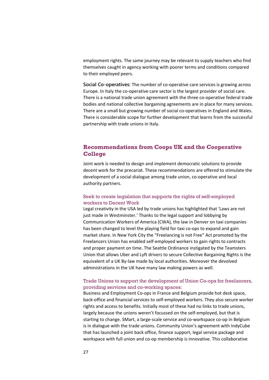employment rights. The same journey may be relevant to supply teachers who find themselves caught in agency working with poorer terms and conditions compared to their employed peers.

**Social Co-operatives:** The number of co‐operative care services is growing across Europe. In Italy the co-operative care sector is the largest provider of social care. There is a national trade union agreement with the three co-operative federal trade bodies and national collective bargaining agreements are in place for many services. There are a small but growing number of social co-operatives in England and Wales. There is considerable scope for further development that learns from the successful partnership with trade unions in Italy.

### **Recommendations from Coops UK and the Cooperative College**

Joint work is needed to design and implement democratic solutions to provide decent work for the precariat. These recommendations are offered to stimulate the development of a social dialogue among trade union, co‐operative and local authority partners.

### Seek to create legislation that supports the rights of self-employed workers to Decent Work

Legal creativity in the USA led by trade unions has highlighted that 'Laws are not just made in Westminster.' Thanks to the legal support and lobbying by Communication Workers of America (CWA), the law in Denver on taxi companies has been changed to level the playing field for taxi co-ops to expand and gain market share. In New York City the "Freelancing is not Free" Act promoted by the Freelancers Union has enabled self‐employed workers to gain rights to contracts and proper payment on time. The Seattle Ordinance instigated by the Teamsters Union that allows Uber and Lyft drivers to secure Collective Bargaining Rights is the equivalent of a UK By‐law made by local authorities. Moreover the devolved administrations in the UK have many law making powers as well.

### Trade Unions to support the development of Union Co-ops for freelancers, providing services and co-working spaces:

Business and Employment Co‐ops in France and Belgium provide hot desk space, back‐office and financial services to self‐employed workers. They also secure worker rights and access to benefits. Initially most of these had no links to trade unions, largely because the unions weren't focussed on the self-employed, but that is starting to change. SMart, a large‐scale service and co‐workspace co‐op in Belgium is in dialogue with the trade unions. Community Union's agreement with IndyCube that has launched a joint back office, finance support, legal service package and workspace with full union and co-op membership is innovative. This collaborative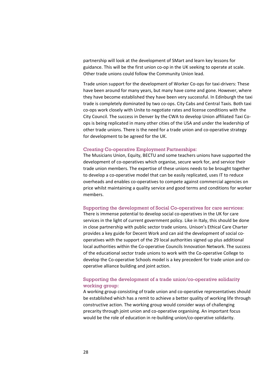partnership will look at the development of SMart and learn key lessons for guidance. This will be the first union co-op in the UK seeking to operate at scale. Other trade unions could follow the Community Union lead.

Trade union support for the development of Worker Co-ops for taxi-drivers: These have been around for many years, but many have come and gone. However, where they have become established they have been very successful. In Edinburgh the taxi trade is completely dominated by two co-ops. City Cabs and Central Taxis. Both taxi co‐ops work closely with Unite to negotiate rates and license conditions with the City Council. The success in Denver by the CWA to develop Union affiliated Taxi Co‐ ops is being replicated in many other cities of the USA and under the leadership of other trade unions. There is the need for a trade union and co-operative strategy for development to be agreed for the UK.

#### Creating Co-operative Employment Partnerships:

The Musicians Union, Equity, BECTU and some teachers unions have supported the development of co‐operatives which organise, secure work for, and service their trade union members. The expertise of these unions needs to be brought together to develop a co-operative model that can be easily replicated, uses IT to reduce overheads and enables co‐operatives to compete against commercial agencies on price whilst maintaining a quality service and good terms and conditions for worker members.

#### Supporting the development of Social Co-operatives for care services:

There is immense potential to develop social co-operatives in the UK for care services in the light of current government policy. Like in Italy, this should be done in close partnership with public sector trade unions. Unison's Ethical Care Charter provides a key guide for Decent Work and can aid the development of social co‐ operatives with the support of the 29 local authorities signed up plus additional local authorities within the Co-operative Councils Innovation Network. The success of the educational sector trade unions to work with the Co‐operative College to develop the Co-operative Schools model is a key precedent for trade union and cooperative alliance building and joint action.

### Supporting the development of a trade union/co-operative solidarity working group:

A working group consisting of trade union and co-operative representatives should be established which has a remit to achieve a better quality of working life through constructive action. The working group would consider ways of challenging precarity through joint union and co-operative organising. An important focus would be the role of education in re-building union/co-operative solidarity.